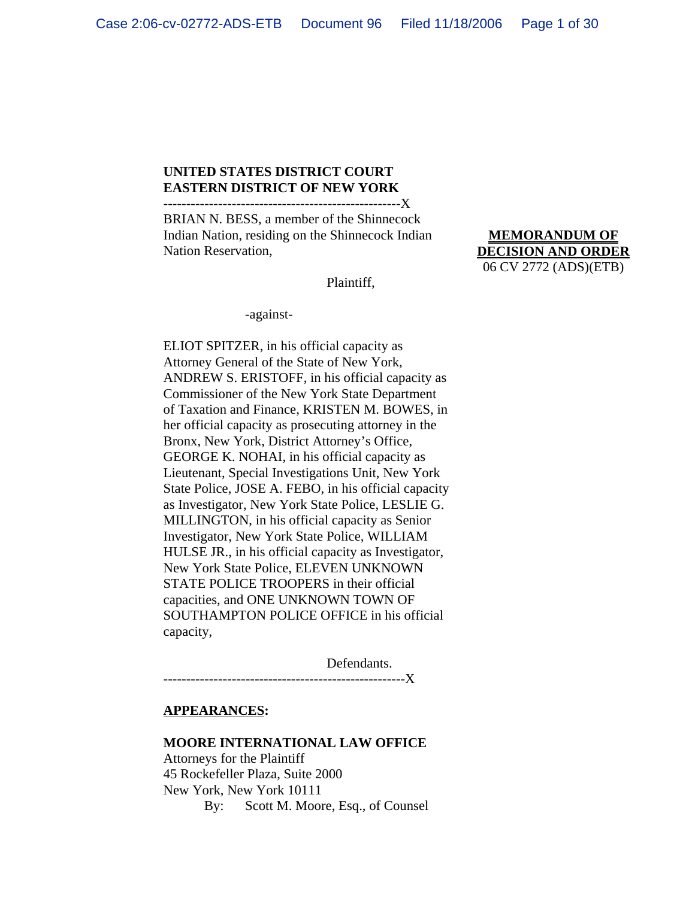#### **UNITED STATES DISTRICT COURT EASTERN DISTRICT OF NEW YORK** ----------------------------------------------------X

BRIAN N. BESS, a member of the Shinnecock Indian Nation, residing on the Shinnecock Indian Nation Reservation,

Plaintiff,

-against-

ELIOT SPITZER, in his official capacity as Attorney General of the State of New York, ANDREW S. ERISTOFF, in his official capacity as Commissioner of the New York State Department of Taxation and Finance, KRISTEN M. BOWES, in her official capacity as prosecuting attorney in the Bronx, New York, District Attorney's Office, GEORGE K. NOHAI, in his official capacity as Lieutenant, Special Investigations Unit, New York State Police, JOSE A. FEBO, in his official capacity as Investigator, New York State Police, LESLIE G. MILLINGTON, in his official capacity as Senior Investigator, New York State Police, WILLIAM HULSE JR., in his official capacity as Investigator, New York State Police, ELEVEN UNKNOWN STATE POLICE TROOPERS in their official capacities, and ONE UNKNOWN TOWN OF SOUTHAMPTON POLICE OFFICE in his official capacity,

Defendants. -----------------X

#### **APPEARANCES:**

#### **MOORE INTERNATIONAL LAW OFFICE**

Attorneys for the Plaintiff 45 Rockefeller Plaza, Suite 2000 New York, New York 10111 By: Scott M. Moore, Esq., of Counsel

**MEMORANDUM OF DECISION AND ORDER** 06 CV 2772 (ADS)(ETB)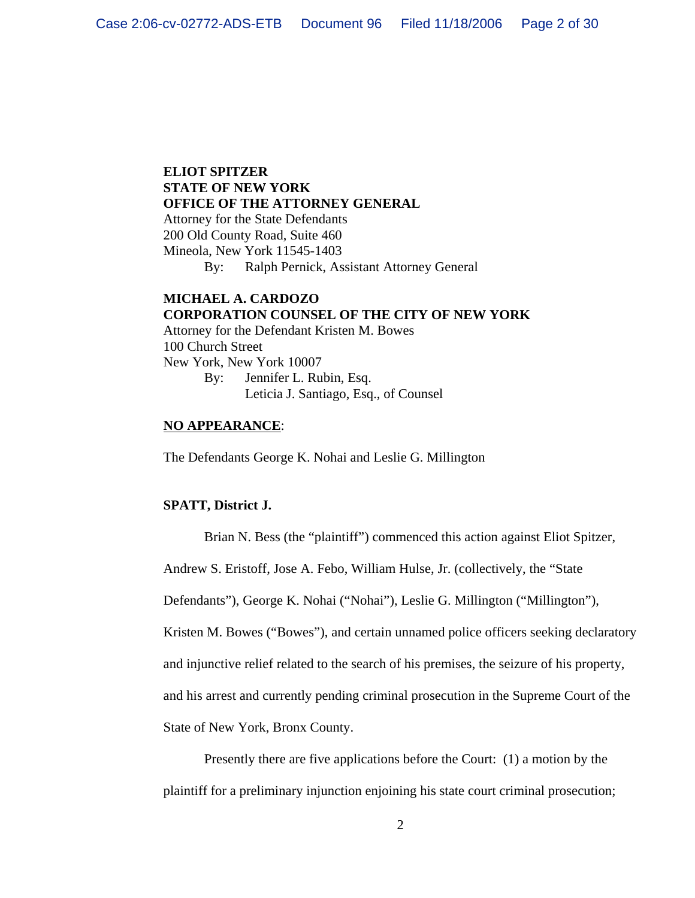# **ELIOT SPITZER STATE OF NEW YORK OFFICE OF THE ATTORNEY GENERAL**

Attorney for the State Defendants 200 Old County Road, Suite 460 Mineola, New York 11545-1403

By: Ralph Pernick, Assistant Attorney General

## **MICHAEL A. CARDOZO CORPORATION COUNSEL OF THE CITY OF NEW YORK** Attorney for the Defendant Kristen M. Bowes 100 Church Street New York, New York 10007 By: Jennifer L. Rubin, Esq. Leticia J. Santiago, Esq., of Counsel

## **NO APPEARANCE**:

The Defendants George K. Nohai and Leslie G. Millington

## **SPATT, District J.**

Brian N. Bess (the "plaintiff") commenced this action against Eliot Spitzer,

Andrew S. Eristoff, Jose A. Febo, William Hulse, Jr. (collectively, the "State

Defendants"), George K. Nohai ("Nohai"), Leslie G. Millington ("Millington"),

Kristen M. Bowes ("Bowes"), and certain unnamed police officers seeking declaratory

and injunctive relief related to the search of his premises, the seizure of his property,

and his arrest and currently pending criminal prosecution in the Supreme Court of the

State of New York, Bronx County.

Presently there are five applications before the Court: (1) a motion by the plaintiff for a preliminary injunction enjoining his state court criminal prosecution;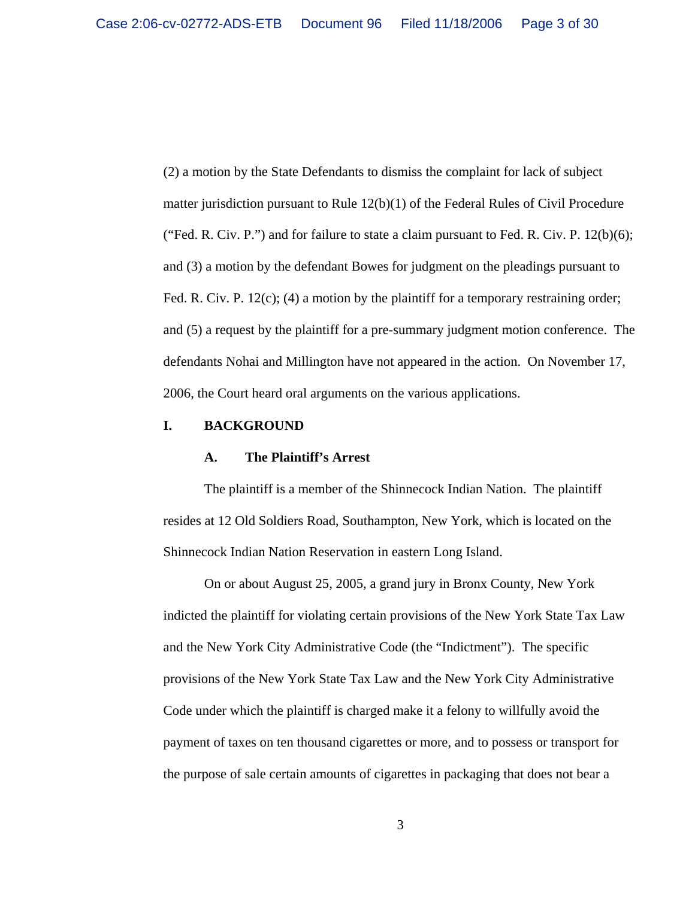(2) a motion by the State Defendants to dismiss the complaint for lack of subject matter jurisdiction pursuant to Rule 12(b)(1) of the Federal Rules of Civil Procedure ("Fed. R. Civ. P.") and for failure to state a claim pursuant to Fed. R. Civ. P.  $12(b)(6)$ ; and (3) a motion by the defendant Bowes for judgment on the pleadings pursuant to Fed. R. Civ. P. 12(c); (4) a motion by the plaintiff for a temporary restraining order; and (5) a request by the plaintiff for a pre-summary judgment motion conference. The defendants Nohai and Millington have not appeared in the action. On November 17, 2006, the Court heard oral arguments on the various applications.

#### **I. BACKGROUND**

#### **A. The Plaintiff's Arrest**

The plaintiff is a member of the Shinnecock Indian Nation. The plaintiff resides at 12 Old Soldiers Road, Southampton, New York, which is located on the Shinnecock Indian Nation Reservation in eastern Long Island.

On or about August 25, 2005, a grand jury in Bronx County, New York indicted the plaintiff for violating certain provisions of the New York State Tax Law and the New York City Administrative Code (the "Indictment"). The specific provisions of the New York State Tax Law and the New York City Administrative Code under which the plaintiff is charged make it a felony to willfully avoid the payment of taxes on ten thousand cigarettes or more, and to possess or transport for the purpose of sale certain amounts of cigarettes in packaging that does not bear a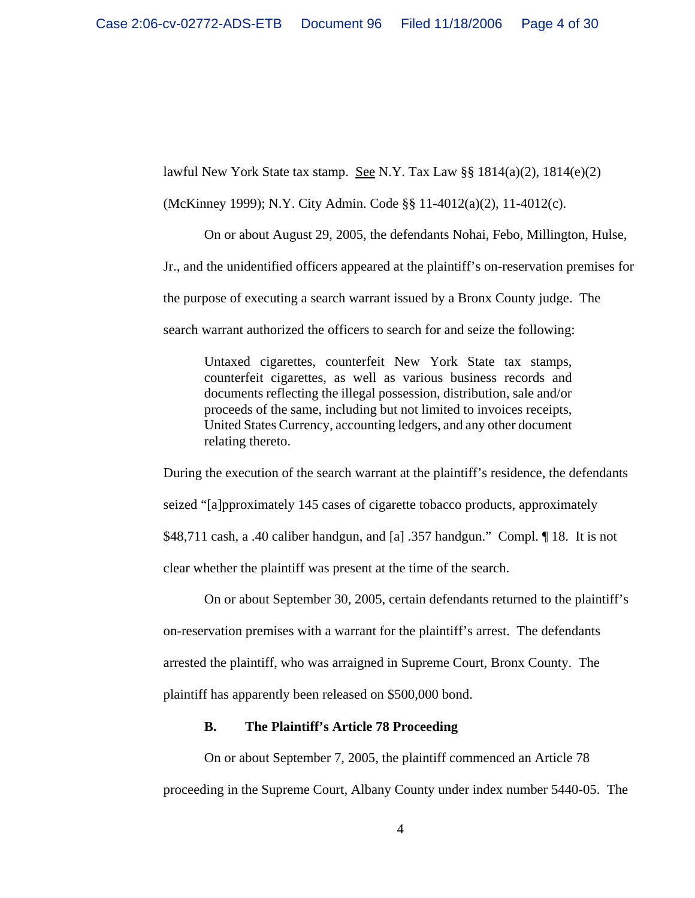lawful New York State tax stamp. See N.Y. Tax Law  $\S$ § 1814(a)(2), 1814(e)(2)

(McKinney 1999); N.Y. City Admin. Code §§ 11-4012(a)(2), 11-4012(c).

On or about August 29, 2005, the defendants Nohai, Febo, Millington, Hulse, Jr., and the unidentified officers appeared at the plaintiff's on-reservation premises for the purpose of executing a search warrant issued by a Bronx County judge. The search warrant authorized the officers to search for and seize the following:

Untaxed cigarettes, counterfeit New York State tax stamps, counterfeit cigarettes, as well as various business records and documents reflecting the illegal possession, distribution, sale and/or proceeds of the same, including but not limited to invoices receipts, United States Currency, accounting ledgers, and any other document relating thereto.

During the execution of the search warrant at the plaintiff's residence, the defendants seized "[a]pproximately 145 cases of cigarette tobacco products, approximately \$48,711 cash, a .40 caliber handgun, and [a] .357 handgun." Compl. ¶ 18. It is not clear whether the plaintiff was present at the time of the search.

On or about September 30, 2005, certain defendants returned to the plaintiff's on-reservation premises with a warrant for the plaintiff's arrest. The defendants arrested the plaintiff, who was arraigned in Supreme Court, Bronx County. The plaintiff has apparently been released on \$500,000 bond.

## **B. The Plaintiff's Article 78 Proceeding**

On or about September 7, 2005, the plaintiff commenced an Article 78 proceeding in the Supreme Court, Albany County under index number 5440-05. The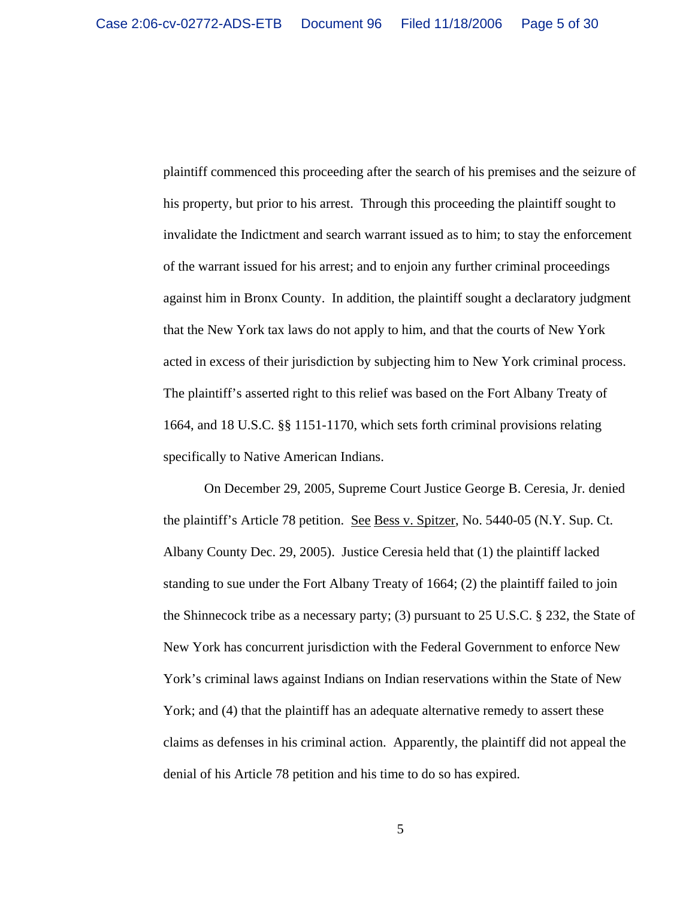plaintiff commenced this proceeding after the search of his premises and the seizure of his property, but prior to his arrest. Through this proceeding the plaintiff sought to invalidate the Indictment and search warrant issued as to him; to stay the enforcement of the warrant issued for his arrest; and to enjoin any further criminal proceedings against him in Bronx County. In addition, the plaintiff sought a declaratory judgment that the New York tax laws do not apply to him, and that the courts of New York acted in excess of their jurisdiction by subjecting him to New York criminal process. The plaintiff's asserted right to this relief was based on the Fort Albany Treaty of 1664, and 18 U.S.C. §§ 1151-1170, which sets forth criminal provisions relating specifically to Native American Indians.

On December 29, 2005, Supreme Court Justice George B. Ceresia, Jr. denied the plaintiff's Article 78 petition. See Bess v. Spitzer, No. 5440-05 (N.Y. Sup. Ct. Albany County Dec. 29, 2005). Justice Ceresia held that (1) the plaintiff lacked standing to sue under the Fort Albany Treaty of 1664; (2) the plaintiff failed to join the Shinnecock tribe as a necessary party; (3) pursuant to 25 U.S.C. § 232, the State of New York has concurrent jurisdiction with the Federal Government to enforce New York's criminal laws against Indians on Indian reservations within the State of New York; and (4) that the plaintiff has an adequate alternative remedy to assert these claims as defenses in his criminal action. Apparently, the plaintiff did not appeal the denial of his Article 78 petition and his time to do so has expired.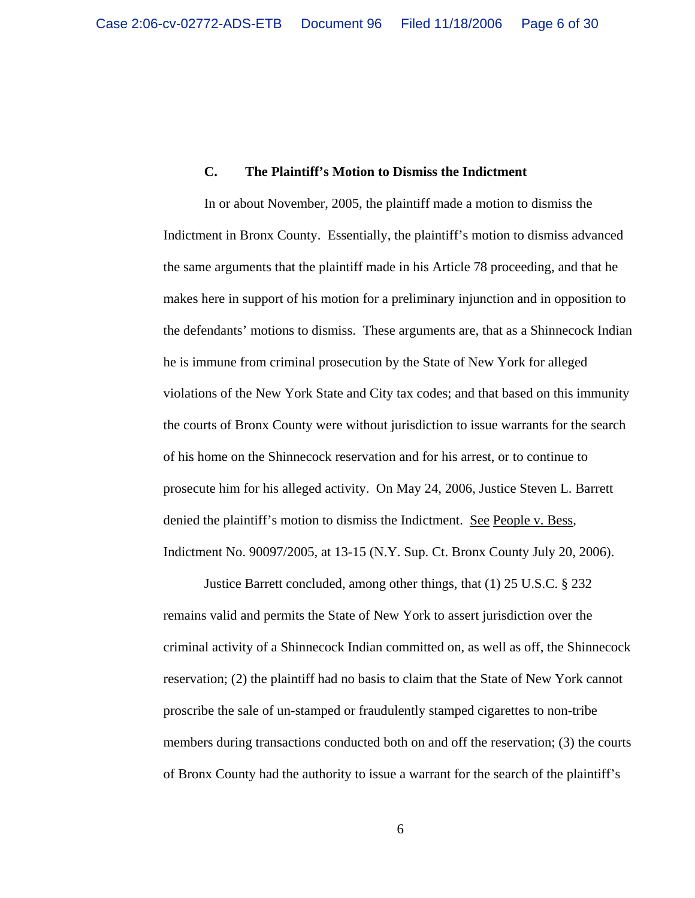### **C. The Plaintiff's Motion to Dismiss the Indictment**

In or about November, 2005, the plaintiff made a motion to dismiss the Indictment in Bronx County. Essentially, the plaintiff's motion to dismiss advanced the same arguments that the plaintiff made in his Article 78 proceeding, and that he makes here in support of his motion for a preliminary injunction and in opposition to the defendants' motions to dismiss. These arguments are, that as a Shinnecock Indian he is immune from criminal prosecution by the State of New York for alleged violations of the New York State and City tax codes; and that based on this immunity the courts of Bronx County were without jurisdiction to issue warrants for the search of his home on the Shinnecock reservation and for his arrest, or to continue to prosecute him for his alleged activity. On May 24, 2006, Justice Steven L. Barrett denied the plaintiff's motion to dismiss the Indictment. See People v. Bess, Indictment No. 90097/2005, at 13-15 (N.Y. Sup. Ct. Bronx County July 20, 2006).

Justice Barrett concluded, among other things, that (1) 25 U.S.C. § 232 remains valid and permits the State of New York to assert jurisdiction over the criminal activity of a Shinnecock Indian committed on, as well as off, the Shinnecock reservation; (2) the plaintiff had no basis to claim that the State of New York cannot proscribe the sale of un-stamped or fraudulently stamped cigarettes to non-tribe members during transactions conducted both on and off the reservation; (3) the courts of Bronx County had the authority to issue a warrant for the search of the plaintiff's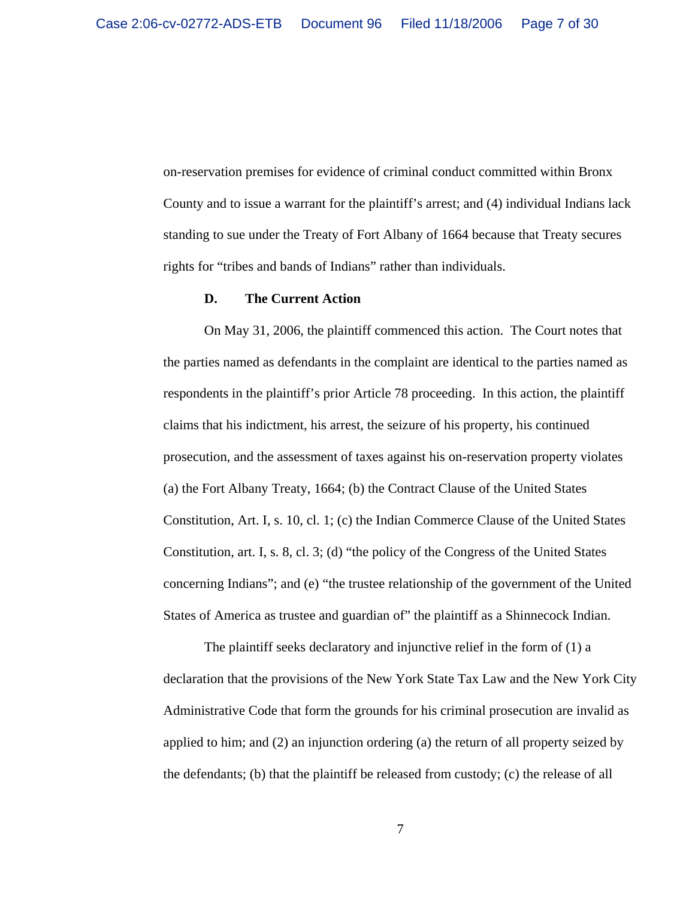on-reservation premises for evidence of criminal conduct committed within Bronx County and to issue a warrant for the plaintiff's arrest; and (4) individual Indians lack standing to sue under the Treaty of Fort Albany of 1664 because that Treaty secures rights for "tribes and bands of Indians" rather than individuals.

#### **D. The Current Action**

On May 31, 2006, the plaintiff commenced this action. The Court notes that the parties named as defendants in the complaint are identical to the parties named as respondents in the plaintiff's prior Article 78 proceeding. In this action, the plaintiff claims that his indictment, his arrest, the seizure of his property, his continued prosecution, and the assessment of taxes against his on-reservation property violates (a) the Fort Albany Treaty, 1664; (b) the Contract Clause of the United States Constitution, Art. I, s. 10, cl. 1; (c) the Indian Commerce Clause of the United States Constitution, art. I, s. 8, cl. 3; (d) "the policy of the Congress of the United States concerning Indians"; and (e) "the trustee relationship of the government of the United States of America as trustee and guardian of" the plaintiff as a Shinnecock Indian.

The plaintiff seeks declaratory and injunctive relief in the form of (1) a declaration that the provisions of the New York State Tax Law and the New York City Administrative Code that form the grounds for his criminal prosecution are invalid as applied to him; and (2) an injunction ordering (a) the return of all property seized by the defendants; (b) that the plaintiff be released from custody; (c) the release of all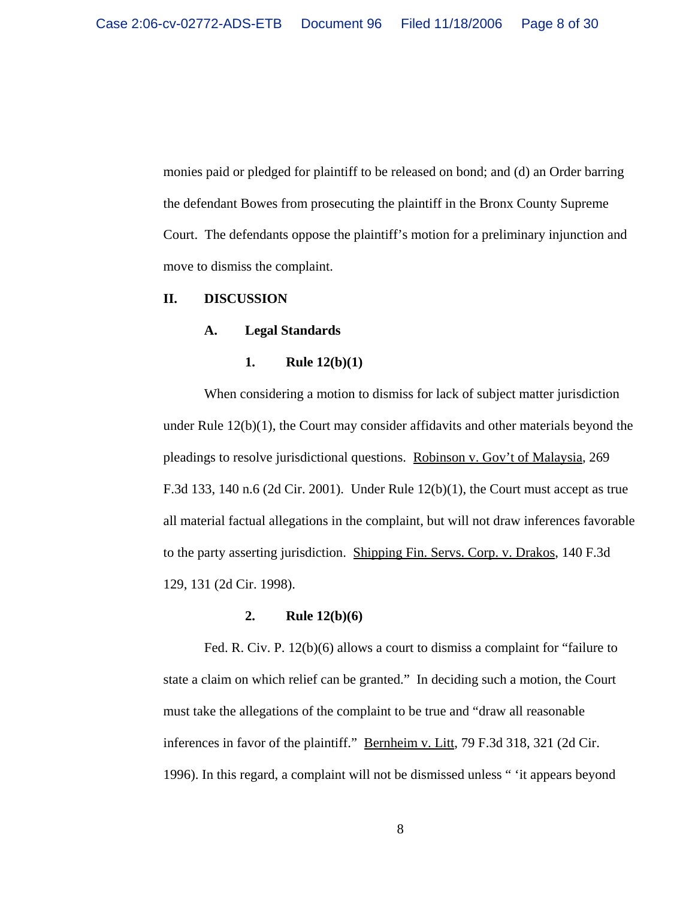monies paid or pledged for plaintiff to be released on bond; and (d) an Order barring the defendant Bowes from prosecuting the plaintiff in the Bronx County Supreme Court. The defendants oppose the plaintiff's motion for a preliminary injunction and move to dismiss the complaint.

#### **II. DISCUSSION**

#### **A. Legal Standards**

#### **1. Rule 12(b)(1)**

When considering a motion to dismiss for lack of subject matter jurisdiction under Rule  $12(b)(1)$ , the Court may consider affidavits and other materials beyond the pleadings to resolve jurisdictional questions. Robinson v. Gov't of Malaysia, 269 F.3d 133, 140 n.6 (2d Cir. 2001). Under Rule 12(b)(1), the Court must accept as true all material factual allegations in the complaint, but will not draw inferences favorable to the party asserting jurisdiction. Shipping Fin. Servs. Corp. v. Drakos, 140 F.3d 129, 131 (2d Cir. 1998).

#### **2. Rule 12(b)(6)**

Fed. R. Civ. P. 12(b)(6) allows a court to dismiss a complaint for "failure to state a claim on which relief can be granted." In deciding such a motion, the Court must take the allegations of the complaint to be true and "draw all reasonable inferences in favor of the plaintiff." Bernheim v. Litt, 79 F.3d 318, 321 (2d Cir. 1996). In this regard, a complaint will not be dismissed unless " 'it appears beyond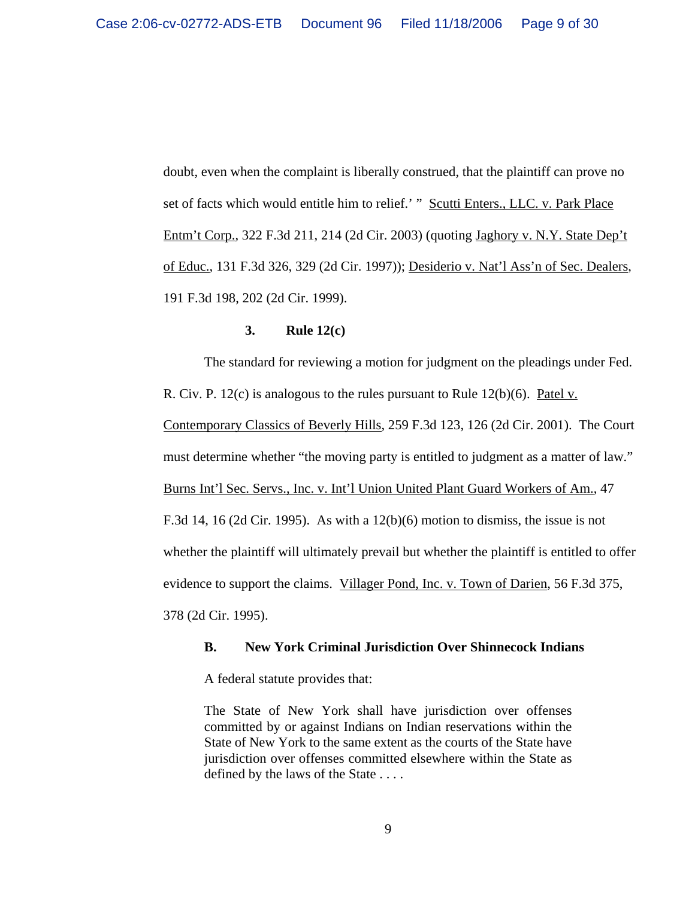doubt, even when the complaint is liberally construed, that the plaintiff can prove no set of facts which would entitle him to relief.' " Scutti Enters., LLC. v. Park Place Entm't Corp., 322 F.3d 211, 214 (2d Cir. 2003) (quoting Jaghory v. N.Y. State Dep't of Educ., 131 F.3d 326, 329 (2d Cir. 1997)); Desiderio v. Nat'l Ass'n of Sec. Dealers, 191 F.3d 198, 202 (2d Cir. 1999).

## **3. Rule 12(c)**

The standard for reviewing a motion for judgment on the pleadings under Fed. R. Civ. P. 12(c) is analogous to the rules pursuant to Rule 12(b)(6). Patel v.

Contemporary Classics of Beverly Hills, 259 F.3d 123, 126 (2d Cir. 2001). The Court

must determine whether "the moving party is entitled to judgment as a matter of law."

Burns Int'l Sec. Servs., Inc. v. Int'l Union United Plant Guard Workers of Am., 47

F.3d 14, 16 (2d Cir. 1995). As with a  $12(b)(6)$  motion to dismiss, the issue is not

whether the plaintiff will ultimately prevail but whether the plaintiff is entitled to offer

evidence to support the claims. Villager Pond, Inc. v. Town of Darien, 56 F.3d 375,

378 (2d Cir. 1995).

#### **B. New York Criminal Jurisdiction Over Shinnecock Indians**

A federal statute provides that:

The State of New York shall have jurisdiction over offenses committed by or against Indians on Indian reservations within the State of New York to the same extent as the courts of the State have jurisdiction over offenses committed elsewhere within the State as defined by the laws of the State . . . .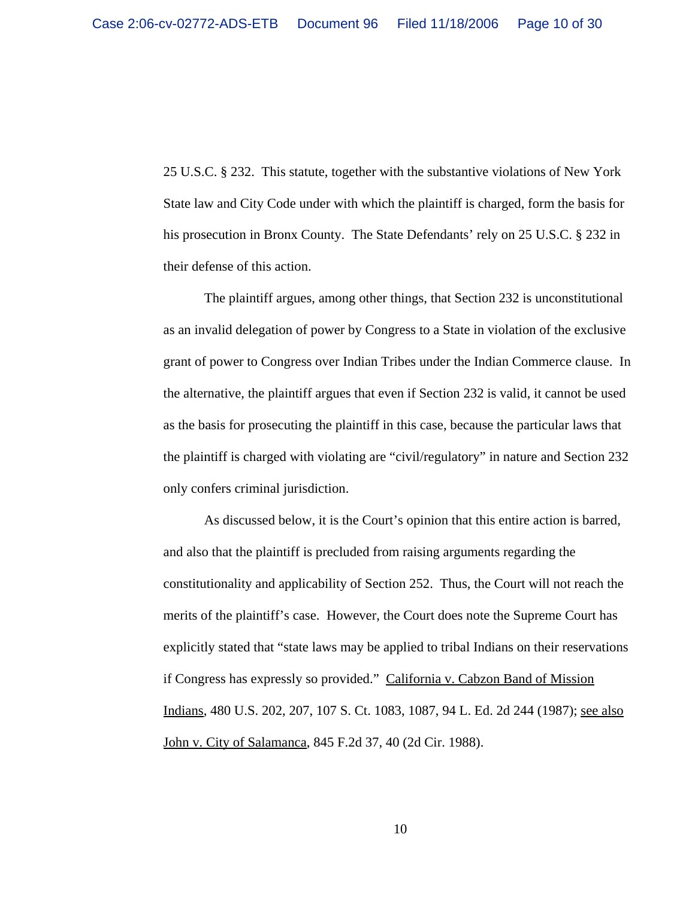25 U.S.C. § 232. This statute, together with the substantive violations of New York State law and City Code under with which the plaintiff is charged, form the basis for his prosecution in Bronx County. The State Defendants' rely on 25 U.S.C. § 232 in their defense of this action.

The plaintiff argues, among other things, that Section 232 is unconstitutional as an invalid delegation of power by Congress to a State in violation of the exclusive grant of power to Congress over Indian Tribes under the Indian Commerce clause. In the alternative, the plaintiff argues that even if Section 232 is valid, it cannot be used as the basis for prosecuting the plaintiff in this case, because the particular laws that the plaintiff is charged with violating are "civil/regulatory" in nature and Section 232 only confers criminal jurisdiction.

As discussed below, it is the Court's opinion that this entire action is barred, and also that the plaintiff is precluded from raising arguments regarding the constitutionality and applicability of Section 252. Thus, the Court will not reach the merits of the plaintiff's case. However, the Court does note the Supreme Court has explicitly stated that "state laws may be applied to tribal Indians on their reservations if Congress has expressly so provided." California v. Cabzon Band of Mission Indians, 480 U.S. 202, 207, 107 S. Ct. 1083, 1087, 94 L. Ed. 2d 244 (1987); see also John v. City of Salamanca, 845 F.2d 37, 40 (2d Cir. 1988).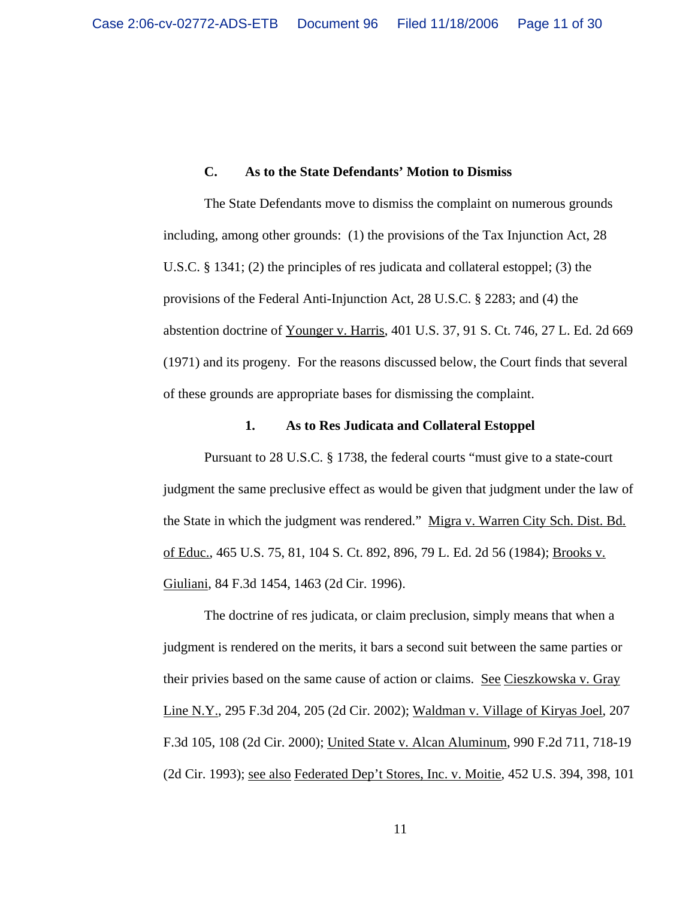#### **C. As to the State Defendants' Motion to Dismiss**

The State Defendants move to dismiss the complaint on numerous grounds including, among other grounds: (1) the provisions of the Tax Injunction Act, 28 U.S.C. § 1341; (2) the principles of res judicata and collateral estoppel; (3) the provisions of the Federal Anti-Injunction Act, 28 U.S.C. § 2283; and (4) the abstention doctrine of Younger v. Harris, 401 U.S. 37, 91 S. Ct. 746, 27 L. Ed. 2d 669 (1971) and its progeny. For the reasons discussed below, the Court finds that several of these grounds are appropriate bases for dismissing the complaint.

#### **1. As to Res Judicata and Collateral Estoppel**

Pursuant to 28 U.S.C. § 1738, the federal courts "must give to a state-court judgment the same preclusive effect as would be given that judgment under the law of the State in which the judgment was rendered." Migra v. Warren City Sch. Dist. Bd. of Educ., 465 U.S. 75, 81, 104 S. Ct. 892, 896, 79 L. Ed. 2d 56 (1984); Brooks v. Giuliani, 84 F.3d 1454, 1463 (2d Cir. 1996).

The doctrine of res judicata, or claim preclusion, simply means that when a judgment is rendered on the merits, it bars a second suit between the same parties or their privies based on the same cause of action or claims. See Cieszkowska v. Gray Line N.Y., 295 F.3d 204, 205 (2d Cir. 2002); Waldman v. Village of Kiryas Joel, 207 F.3d 105, 108 (2d Cir. 2000); United State v. Alcan Aluminum, 990 F.2d 711, 718-19 (2d Cir. 1993); see also Federated Dep't Stores, Inc. v. Moitie, 452 U.S. 394, 398, 101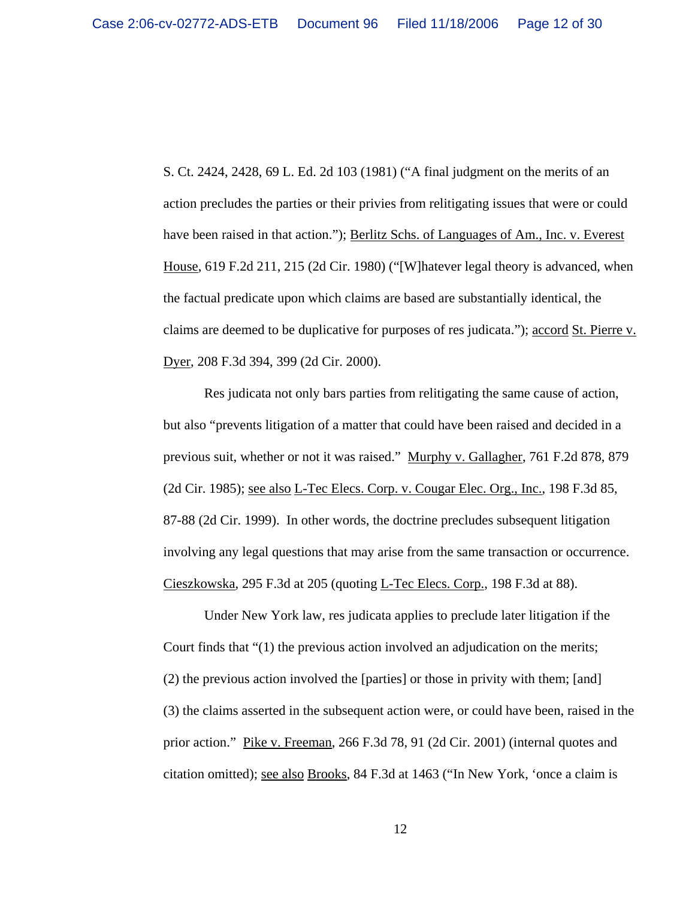S. Ct. 2424, 2428, 69 L. Ed. 2d 103 (1981) ("A final judgment on the merits of an action precludes the parties or their privies from relitigating issues that were or could have been raised in that action."); Berlitz Schs. of Languages of Am., Inc. v. Everest House, 619 F.2d 211, 215 (2d Cir. 1980) ("[W]hatever legal theory is advanced, when the factual predicate upon which claims are based are substantially identical, the claims are deemed to be duplicative for purposes of res judicata."); <u>accord St. Pierre v.</u> Dyer, 208 F.3d 394, 399 (2d Cir. 2000).

Res judicata not only bars parties from relitigating the same cause of action, but also "prevents litigation of a matter that could have been raised and decided in a previous suit, whether or not it was raised." Murphy v. Gallagher, 761 F.2d 878, 879 (2d Cir. 1985); see also L-Tec Elecs. Corp. v. Cougar Elec. Org., Inc., 198 F.3d 85, 87-88 (2d Cir. 1999). In other words, the doctrine precludes subsequent litigation involving any legal questions that may arise from the same transaction or occurrence. Cieszkowska, 295 F.3d at 205 (quoting L-Tec Elecs. Corp., 198 F.3d at 88).

Under New York law, res judicata applies to preclude later litigation if the Court finds that "(1) the previous action involved an adjudication on the merits; (2) the previous action involved the [parties] or those in privity with them; [and] (3) the claims asserted in the subsequent action were, or could have been, raised in the prior action." Pike v. Freeman, 266 F.3d 78, 91 (2d Cir. 2001) (internal quotes and citation omitted); see also Brooks, 84 F.3d at 1463 ("In New York, 'once a claim is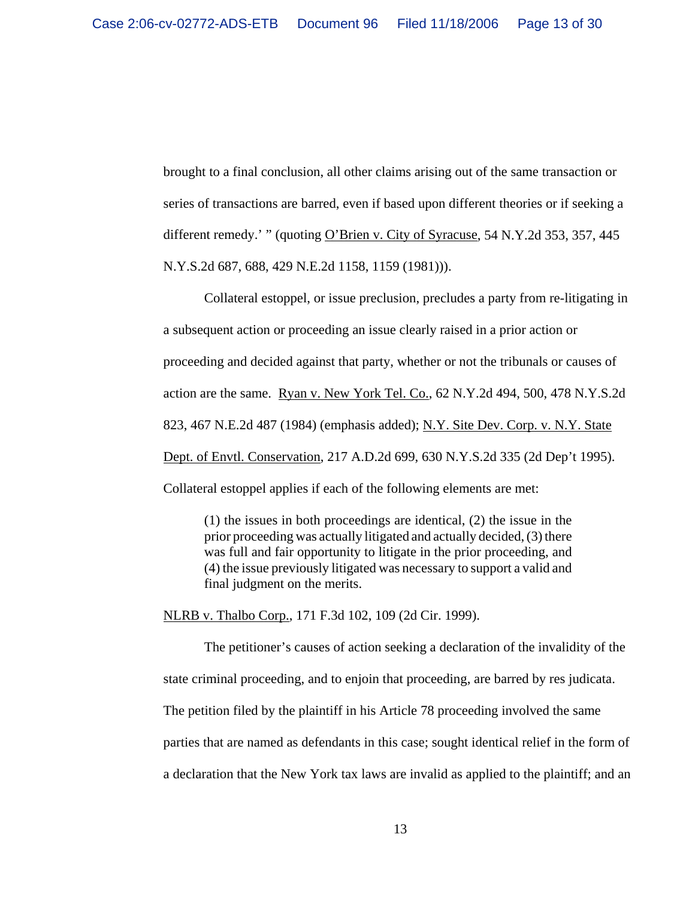brought to a final conclusion, all other claims arising out of the same transaction or series of transactions are barred, even if based upon different theories or if seeking a different remedy.' " (quoting O'Brien v. City of Syracuse, 54 N.Y.2d 353, 357, 445 N.Y.S.2d 687, 688, 429 N.E.2d 1158, 1159 (1981))).

Collateral estoppel, or issue preclusion, precludes a party from re-litigating in a subsequent action or proceeding an issue clearly raised in a prior action or proceeding and decided against that party, whether or not the tribunals or causes of action are the same. Ryan v. New York Tel. Co., 62 N.Y.2d 494, 500, 478 N.Y.S.2d 823, 467 N.E.2d 487 (1984) (emphasis added); N.Y. Site Dev. Corp. v. N.Y. State Dept. of Envtl. Conservation, 217 A.D.2d 699, 630 N.Y.S.2d 335 (2d Dep't 1995). Collateral estoppel applies if each of the following elements are met:

(1) the issues in both proceedings are identical, (2) the issue in the prior proceeding was actually litigated and actually decided, (3) there was full and fair opportunity to litigate in the prior proceeding, and (4) the issue previously litigated was necessary to support a valid and final judgment on the merits.

NLRB v. Thalbo Corp., 171 F.3d 102, 109 (2d Cir. 1999).

The petitioner's causes of action seeking a declaration of the invalidity of the state criminal proceeding, and to enjoin that proceeding, are barred by res judicata. The petition filed by the plaintiff in his Article 78 proceeding involved the same parties that are named as defendants in this case; sought identical relief in the form of a declaration that the New York tax laws are invalid as applied to the plaintiff; and an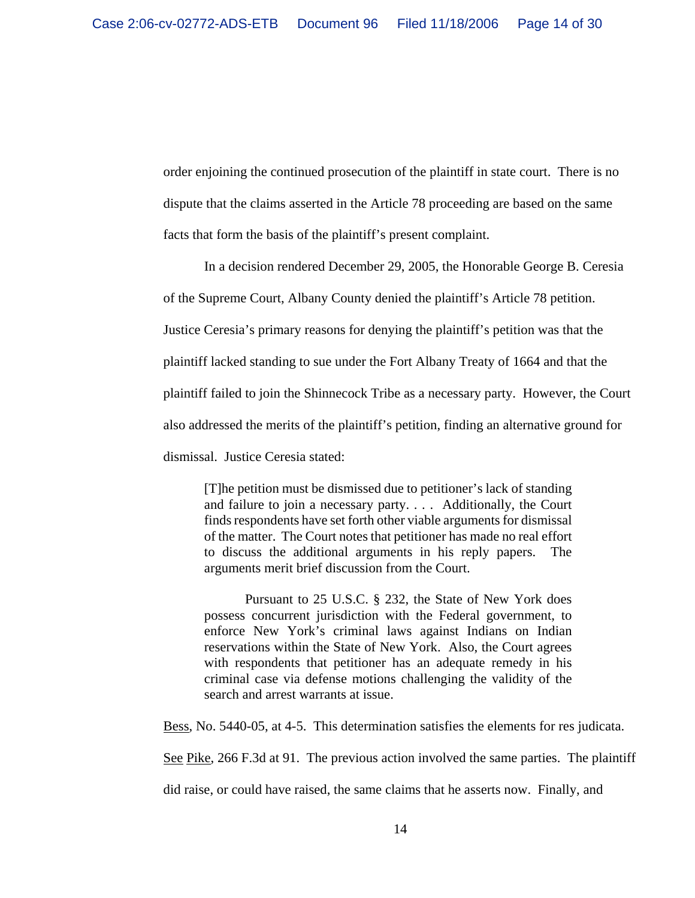order enjoining the continued prosecution of the plaintiff in state court. There is no dispute that the claims asserted in the Article 78 proceeding are based on the same facts that form the basis of the plaintiff's present complaint.

In a decision rendered December 29, 2005, the Honorable George B. Ceresia of the Supreme Court, Albany County denied the plaintiff's Article 78 petition. Justice Ceresia's primary reasons for denying the plaintiff's petition was that the plaintiff lacked standing to sue under the Fort Albany Treaty of 1664 and that the plaintiff failed to join the Shinnecock Tribe as a necessary party. However, the Court also addressed the merits of the plaintiff's petition, finding an alternative ground for dismissal. Justice Ceresia stated:

[T]he petition must be dismissed due to petitioner's lack of standing and failure to join a necessary party. . . . Additionally, the Court finds respondents have set forth other viable arguments for dismissal of the matter. The Court notes that petitioner has made no real effort to discuss the additional arguments in his reply papers. The arguments merit brief discussion from the Court.

Pursuant to 25 U.S.C. § 232, the State of New York does possess concurrent jurisdiction with the Federal government, to enforce New York's criminal laws against Indians on Indian reservations within the State of New York. Also, the Court agrees with respondents that petitioner has an adequate remedy in his criminal case via defense motions challenging the validity of the search and arrest warrants at issue.

Bess, No. 5440-05, at 4-5. This determination satisfies the elements for res judicata.

See Pike, 266 F.3d at 91. The previous action involved the same parties. The plaintiff

did raise, or could have raised, the same claims that he asserts now. Finally, and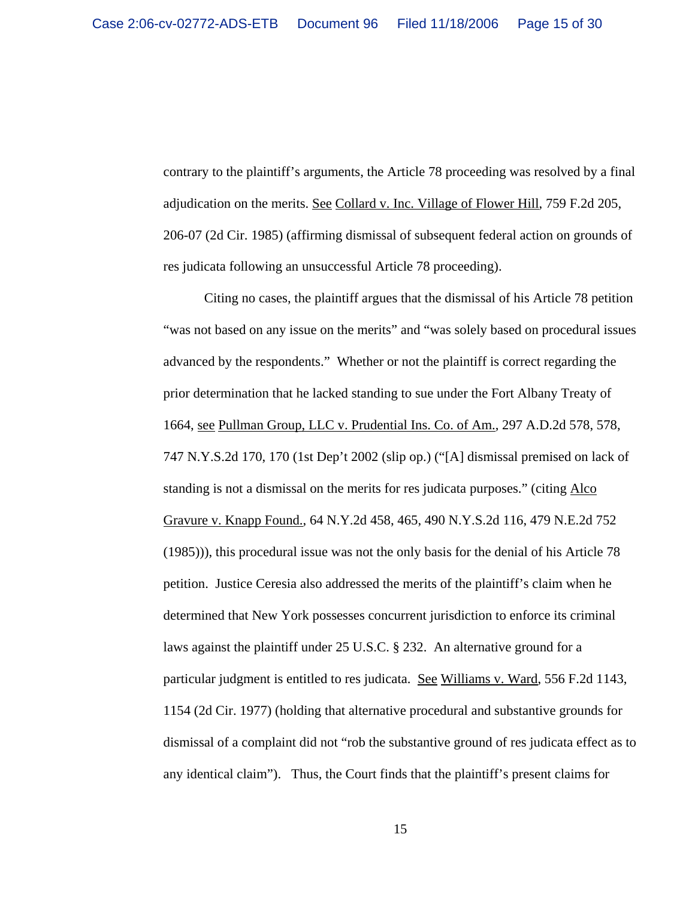contrary to the plaintiff's arguments, the Article 78 proceeding was resolved by a final adjudication on the merits. See Collard v. Inc. Village of Flower Hill, 759 F.2d 205, 206-07 (2d Cir. 1985) (affirming dismissal of subsequent federal action on grounds of res judicata following an unsuccessful Article 78 proceeding).

Citing no cases, the plaintiff argues that the dismissal of his Article 78 petition "was not based on any issue on the merits" and "was solely based on procedural issues advanced by the respondents." Whether or not the plaintiff is correct regarding the prior determination that he lacked standing to sue under the Fort Albany Treaty of 1664, see Pullman Group, LLC v. Prudential Ins. Co. of Am., 297 A.D.2d 578, 578, 747 N.Y.S.2d 170, 170 (1st Dep't 2002 (slip op.) ("[A] dismissal premised on lack of standing is not a dismissal on the merits for res judicata purposes." (citing Alco Gravure v. Knapp Found., 64 N.Y.2d 458, 465, 490 N.Y.S.2d 116, 479 N.E.2d 752 (1985))), this procedural issue was not the only basis for the denial of his Article 78 petition. Justice Ceresia also addressed the merits of the plaintiff's claim when he determined that New York possesses concurrent jurisdiction to enforce its criminal laws against the plaintiff under 25 U.S.C. § 232. An alternative ground for a particular judgment is entitled to res judicata. See Williams v. Ward, 556 F.2d 1143, 1154 (2d Cir. 1977) (holding that alternative procedural and substantive grounds for dismissal of a complaint did not "rob the substantive ground of res judicata effect as to any identical claim"). Thus, the Court finds that the plaintiff's present claims for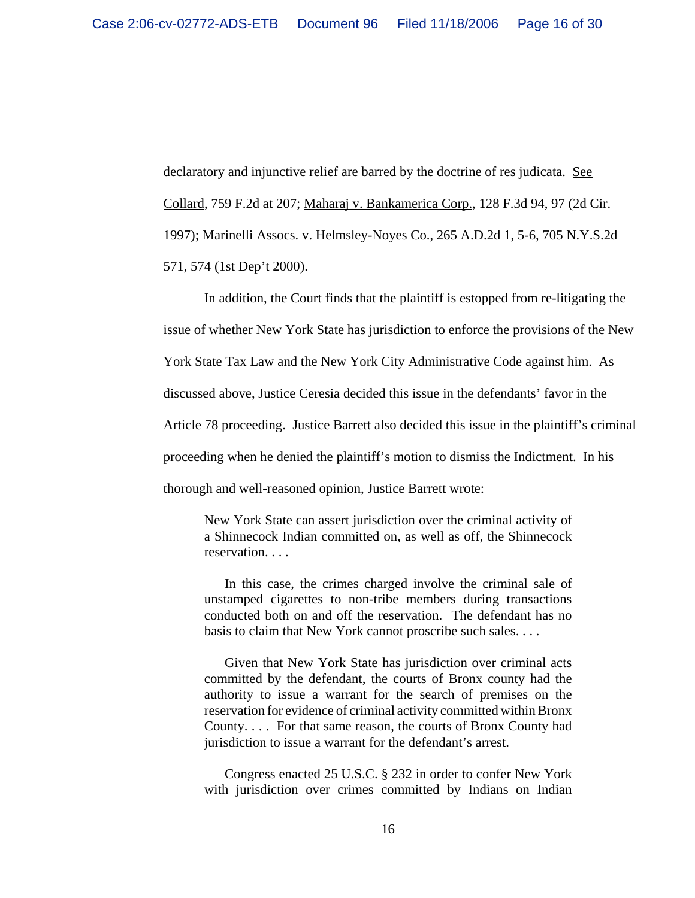declaratory and injunctive relief are barred by the doctrine of res judicata. See Collard, 759 F.2d at 207; Maharaj v. Bankamerica Corp., 128 F.3d 94, 97 (2d Cir. 1997); Marinelli Assocs. v. Helmsley-Noyes Co., 265 A.D.2d 1, 5-6, 705 N.Y.S.2d 571, 574 (1st Dep't 2000).

In addition, the Court finds that the plaintiff is estopped from re-litigating the issue of whether New York State has jurisdiction to enforce the provisions of the New York State Tax Law and the New York City Administrative Code against him. As discussed above, Justice Ceresia decided this issue in the defendants' favor in the Article 78 proceeding. Justice Barrett also decided this issue in the plaintiff's criminal proceeding when he denied the plaintiff's motion to dismiss the Indictment. In his thorough and well-reasoned opinion, Justice Barrett wrote:

New York State can assert jurisdiction over the criminal activity of a Shinnecock Indian committed on, as well as off, the Shinnecock reservation. . . .

In this case, the crimes charged involve the criminal sale of unstamped cigarettes to non-tribe members during transactions conducted both on and off the reservation. The defendant has no basis to claim that New York cannot proscribe such sales. . . .

Given that New York State has jurisdiction over criminal acts committed by the defendant, the courts of Bronx county had the authority to issue a warrant for the search of premises on the reservation for evidence of criminal activity committed within Bronx County. . . . For that same reason, the courts of Bronx County had jurisdiction to issue a warrant for the defendant's arrest.

Congress enacted 25 U.S.C. § 232 in order to confer New York with jurisdiction over crimes committed by Indians on Indian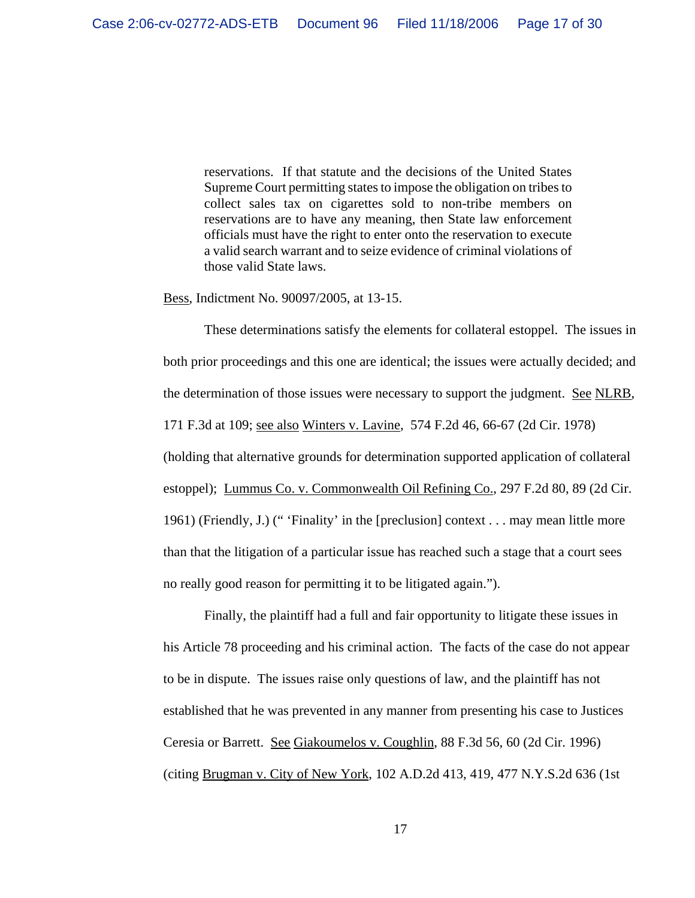reservations. If that statute and the decisions of the United States Supreme Court permitting states to impose the obligation on tribes to collect sales tax on cigarettes sold to non-tribe members on reservations are to have any meaning, then State law enforcement officials must have the right to enter onto the reservation to execute a valid search warrant and to seize evidence of criminal violations of those valid State laws.

Bess, Indictment No. 90097/2005, at 13-15.

These determinations satisfy the elements for collateral estoppel. The issues in both prior proceedings and this one are identical; the issues were actually decided; and the determination of those issues were necessary to support the judgment. See NLRB, 171 F.3d at 109; see also Winters v. Lavine, 574 F.2d 46, 66-67 (2d Cir. 1978) (holding that alternative grounds for determination supported application of collateral estoppel); Lummus Co. v. Commonwealth Oil Refining Co., 297 F.2d 80, 89 (2d Cir. 1961) (Friendly, J.) (" 'Finality' in the [preclusion] context . . . may mean little more than that the litigation of a particular issue has reached such a stage that a court sees no really good reason for permitting it to be litigated again.").

Finally, the plaintiff had a full and fair opportunity to litigate these issues in his Article 78 proceeding and his criminal action. The facts of the case do not appear to be in dispute. The issues raise only questions of law, and the plaintiff has not established that he was prevented in any manner from presenting his case to Justices Ceresia or Barrett. See Giakoumelos v. Coughlin, 88 F.3d 56, 60 (2d Cir. 1996) (citing Brugman v. City of New York, 102 A.D.2d 413, 419, 477 N.Y.S.2d 636 (1st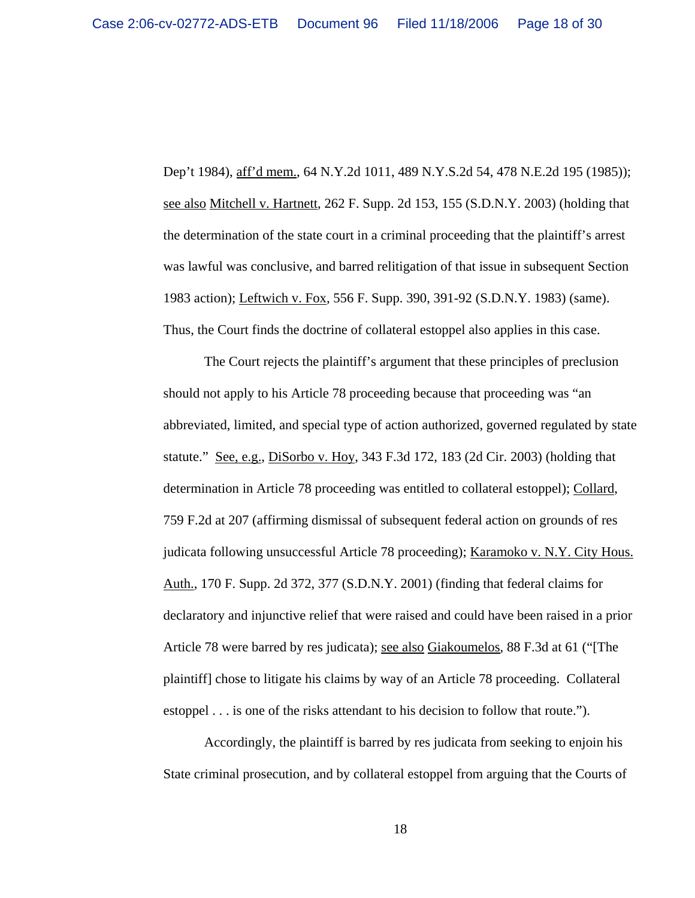Dep't 1984), aff'd mem., 64 N.Y.2d 1011, 489 N.Y.S.2d 54, 478 N.E.2d 195 (1985)); see also Mitchell v. Hartnett, 262 F. Supp. 2d 153, 155 (S.D.N.Y. 2003) (holding that the determination of the state court in a criminal proceeding that the plaintiff's arrest was lawful was conclusive, and barred relitigation of that issue in subsequent Section 1983 action); Leftwich v. Fox, 556 F. Supp. 390, 391-92 (S.D.N.Y. 1983) (same). Thus, the Court finds the doctrine of collateral estoppel also applies in this case.

The Court rejects the plaintiff's argument that these principles of preclusion should not apply to his Article 78 proceeding because that proceeding was "an abbreviated, limited, and special type of action authorized, governed regulated by state statute." See, e.g., DiSorbo v. Hoy, 343 F.3d 172, 183 (2d Cir. 2003) (holding that determination in Article 78 proceeding was entitled to collateral estoppel); Collard, 759 F.2d at 207 (affirming dismissal of subsequent federal action on grounds of res judicata following unsuccessful Article 78 proceeding); Karamoko v. N.Y. City Hous. Auth., 170 F. Supp. 2d 372, 377 (S.D.N.Y. 2001) (finding that federal claims for declaratory and injunctive relief that were raised and could have been raised in a prior Article 78 were barred by res judicata); <u>see also Giakoumelos</u>, 88 F.3d at 61 ("[The plaintiff] chose to litigate his claims by way of an Article 78 proceeding. Collateral estoppel . . . is one of the risks attendant to his decision to follow that route.").

Accordingly, the plaintiff is barred by res judicata from seeking to enjoin his State criminal prosecution, and by collateral estoppel from arguing that the Courts of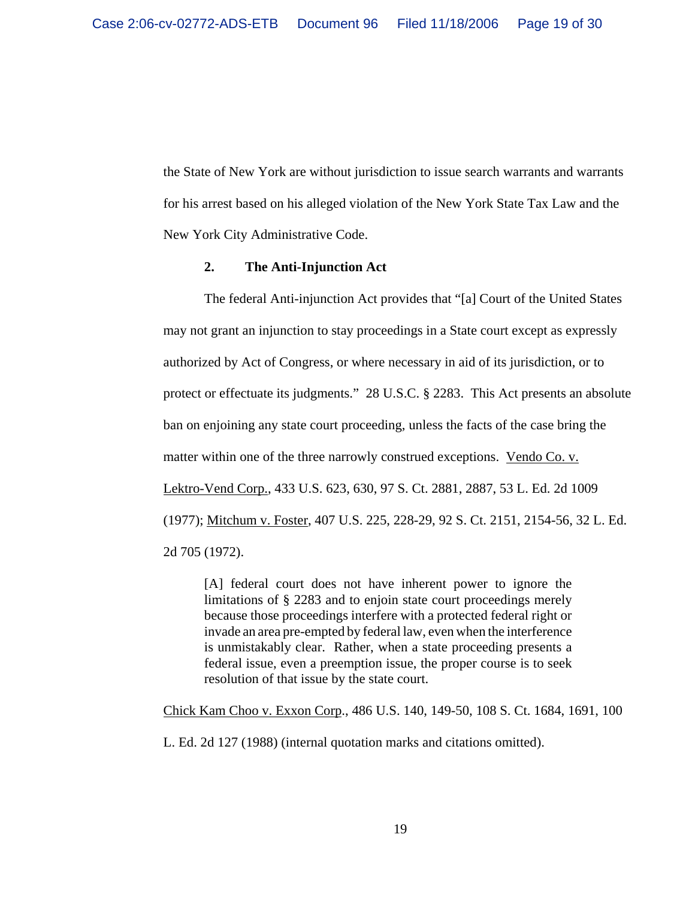the State of New York are without jurisdiction to issue search warrants and warrants for his arrest based on his alleged violation of the New York State Tax Law and the New York City Administrative Code.

#### **2. The Anti-Injunction Act**

The federal Anti-injunction Act provides that "[a] Court of the United States may not grant an injunction to stay proceedings in a State court except as expressly authorized by Act of Congress, or where necessary in aid of its jurisdiction, or to protect or effectuate its judgments." 28 U.S.C. § 2283. This Act presents an absolute ban on enjoining any state court proceeding, unless the facts of the case bring the matter within one of the three narrowly construed exceptions. Vendo Co. v. Lektro-Vend Corp., 433 U.S. 623, 630, 97 S. Ct. 2881, 2887, 53 L. Ed. 2d 1009 (1977); Mitchum v. Foster, 407 U.S. 225, 228-29, 92 S. Ct. 2151, 2154-56, 32 L. Ed. 2d 705 (1972).

[A] federal court does not have inherent power to ignore the limitations of § 2283 and to enjoin state court proceedings merely because those proceedings interfere with a protected federal right or invade an area pre-empted by federal law, even when the interference is unmistakably clear. Rather, when a state proceeding presents a federal issue, even a preemption issue, the proper course is to seek resolution of that issue by the state court.

Chick Kam Choo v. Exxon Corp., 486 U.S. 140, 149-50, 108 S. Ct. 1684, 1691, 100

L. Ed. 2d 127 (1988) (internal quotation marks and citations omitted).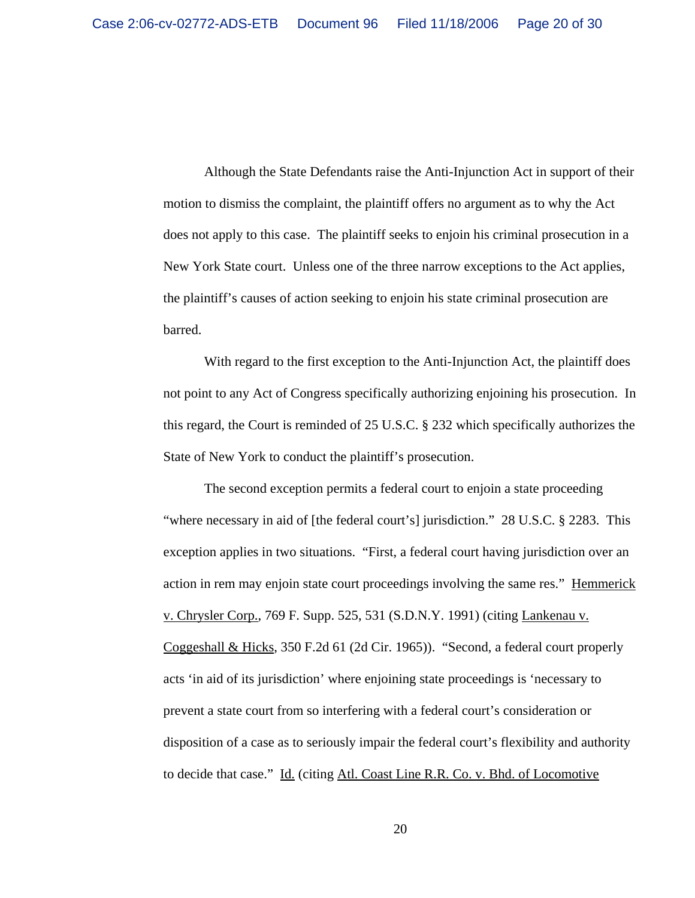Although the State Defendants raise the Anti-Injunction Act in support of their motion to dismiss the complaint, the plaintiff offers no argument as to why the Act does not apply to this case. The plaintiff seeks to enjoin his criminal prosecution in a New York State court. Unless one of the three narrow exceptions to the Act applies, the plaintiff's causes of action seeking to enjoin his state criminal prosecution are barred.

With regard to the first exception to the Anti-Injunction Act, the plaintiff does not point to any Act of Congress specifically authorizing enjoining his prosecution. In this regard, the Court is reminded of 25 U.S.C. § 232 which specifically authorizes the State of New York to conduct the plaintiff's prosecution.

The second exception permits a federal court to enjoin a state proceeding "where necessary in aid of [the federal court's] jurisdiction." 28 U.S.C. § 2283. This exception applies in two situations. "First, a federal court having jurisdiction over an action in rem may enjoin state court proceedings involving the same res." Hemmerick v. Chrysler Corp., 769 F. Supp. 525, 531 (S.D.N.Y. 1991) (citing Lankenau v. Coggeshall & Hicks, 350 F.2d 61 (2d Cir. 1965)). "Second, a federal court properly acts 'in aid of its jurisdiction' where enjoining state proceedings is 'necessary to prevent a state court from so interfering with a federal court's consideration or disposition of a case as to seriously impair the federal court's flexibility and authority to decide that case." Id. (citing Atl. Coast Line R.R. Co. v. Bhd. of Locomotive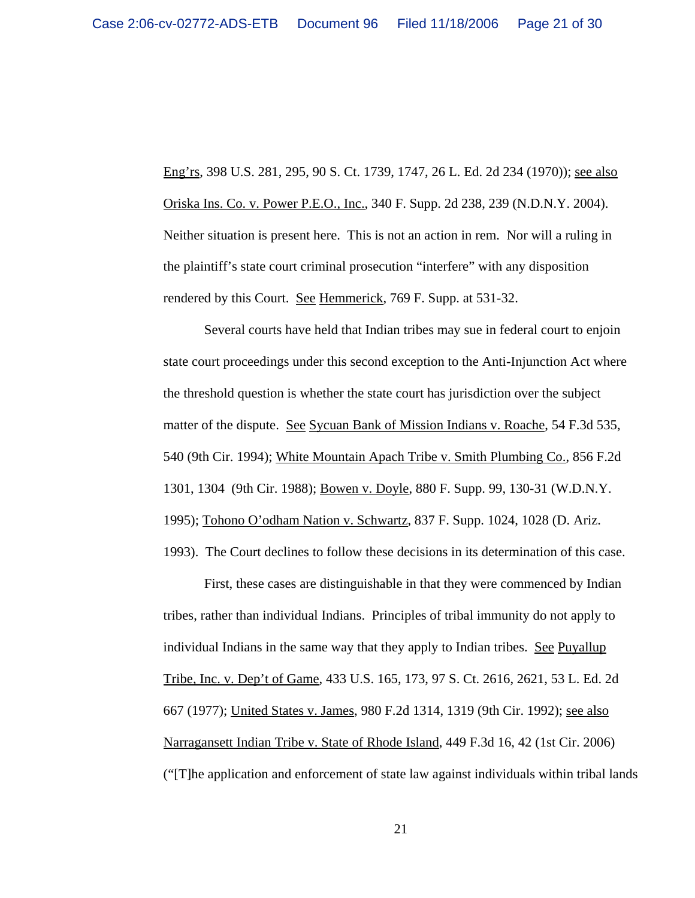Eng'rs, 398 U.S. 281, 295, 90 S. Ct. 1739, 1747, 26 L. Ed. 2d 234 (1970)); see also Oriska Ins. Co. v. Power P.E.O., Inc., 340 F. Supp. 2d 238, 239 (N.D.N.Y. 2004). Neither situation is present here. This is not an action in rem. Nor will a ruling in the plaintiff's state court criminal prosecution "interfere" with any disposition rendered by this Court. See Hemmerick, 769 F. Supp. at 531-32.

Several courts have held that Indian tribes may sue in federal court to enjoin state court proceedings under this second exception to the Anti-Injunction Act where the threshold question is whether the state court has jurisdiction over the subject matter of the dispute. See Sycuan Bank of Mission Indians v. Roache, 54 F.3d 535, 540 (9th Cir. 1994); White Mountain Apach Tribe v. Smith Plumbing Co., 856 F.2d 1301, 1304 (9th Cir. 1988); Bowen v. Doyle, 880 F. Supp. 99, 130-31 (W.D.N.Y. 1995); Tohono O'odham Nation v. Schwartz, 837 F. Supp. 1024, 1028 (D. Ariz. 1993). The Court declines to follow these decisions in its determination of this case.

First, these cases are distinguishable in that they were commenced by Indian tribes, rather than individual Indians. Principles of tribal immunity do not apply to individual Indians in the same way that they apply to Indian tribes. See Puyallup Tribe, Inc. v. Dep't of Game, 433 U.S. 165, 173, 97 S. Ct. 2616, 2621, 53 L. Ed. 2d 667 (1977); United States v. James, 980 F.2d 1314, 1319 (9th Cir. 1992); see also Narragansett Indian Tribe v. State of Rhode Island, 449 F.3d 16, 42 (1st Cir. 2006) ("[T]he application and enforcement of state law against individuals within tribal lands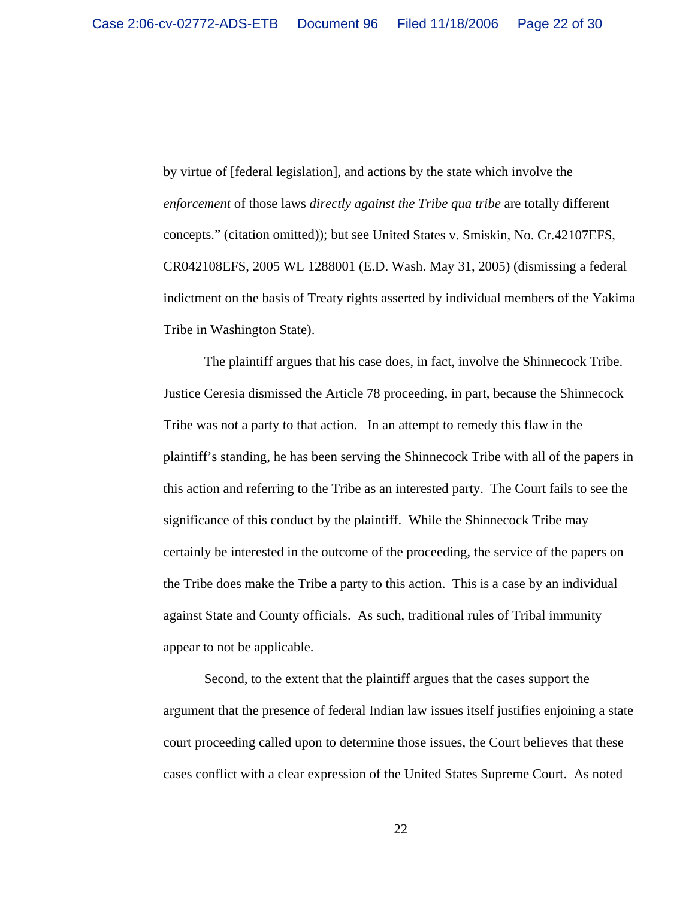by virtue of [federal legislation], and actions by the state which involve the *enforcement* of those laws *directly against the Tribe qua tribe* are totally different concepts." (citation omitted)); <u>but see United States v. Smiskin</u>, No. Cr.42107EFS, CR042108EFS, 2005 WL 1288001 (E.D. Wash. May 31, 2005) (dismissing a federal indictment on the basis of Treaty rights asserted by individual members of the Yakima Tribe in Washington State).

The plaintiff argues that his case does, in fact, involve the Shinnecock Tribe. Justice Ceresia dismissed the Article 78 proceeding, in part, because the Shinnecock Tribe was not a party to that action. In an attempt to remedy this flaw in the plaintiff's standing, he has been serving the Shinnecock Tribe with all of the papers in this action and referring to the Tribe as an interested party. The Court fails to see the significance of this conduct by the plaintiff. While the Shinnecock Tribe may certainly be interested in the outcome of the proceeding, the service of the papers on the Tribe does make the Tribe a party to this action. This is a case by an individual against State and County officials. As such, traditional rules of Tribal immunity appear to not be applicable.

Second, to the extent that the plaintiff argues that the cases support the argument that the presence of federal Indian law issues itself justifies enjoining a state court proceeding called upon to determine those issues, the Court believes that these cases conflict with a clear expression of the United States Supreme Court. As noted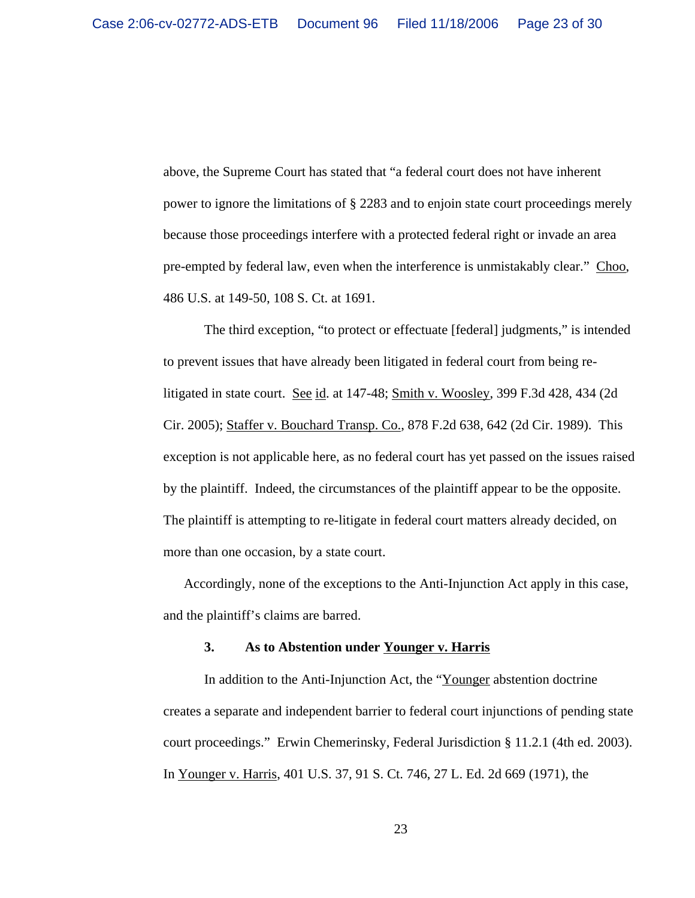above, the Supreme Court has stated that "a federal court does not have inherent power to ignore the limitations of § 2283 and to enjoin state court proceedings merely because those proceedings interfere with a protected federal right or invade an area pre-empted by federal law, even when the interference is unmistakably clear." Choo, 486 U.S. at 149-50, 108 S. Ct. at 1691.

The third exception, "to protect or effectuate [federal] judgments," is intended to prevent issues that have already been litigated in federal court from being relitigated in state court. See id. at 147-48; Smith v. Woosley, 399 F.3d 428, 434 (2d) Cir. 2005); Staffer v. Bouchard Transp. Co., 878 F.2d 638, 642 (2d Cir. 1989). This exception is not applicable here, as no federal court has yet passed on the issues raised by the plaintiff. Indeed, the circumstances of the plaintiff appear to be the opposite. The plaintiff is attempting to re-litigate in federal court matters already decided, on more than one occasion, by a state court.

Accordingly, none of the exceptions to the Anti-Injunction Act apply in this case, and the plaintiff's claims are barred.

#### **3. As to Abstention under Younger v. Harris**

In addition to the Anti-Injunction Act, the "Younger abstention doctrine creates a separate and independent barrier to federal court injunctions of pending state court proceedings." Erwin Chemerinsky, Federal Jurisdiction § 11.2.1 (4th ed. 2003). In Younger v. Harris, 401 U.S. 37, 91 S. Ct. 746, 27 L. Ed. 2d 669 (1971), the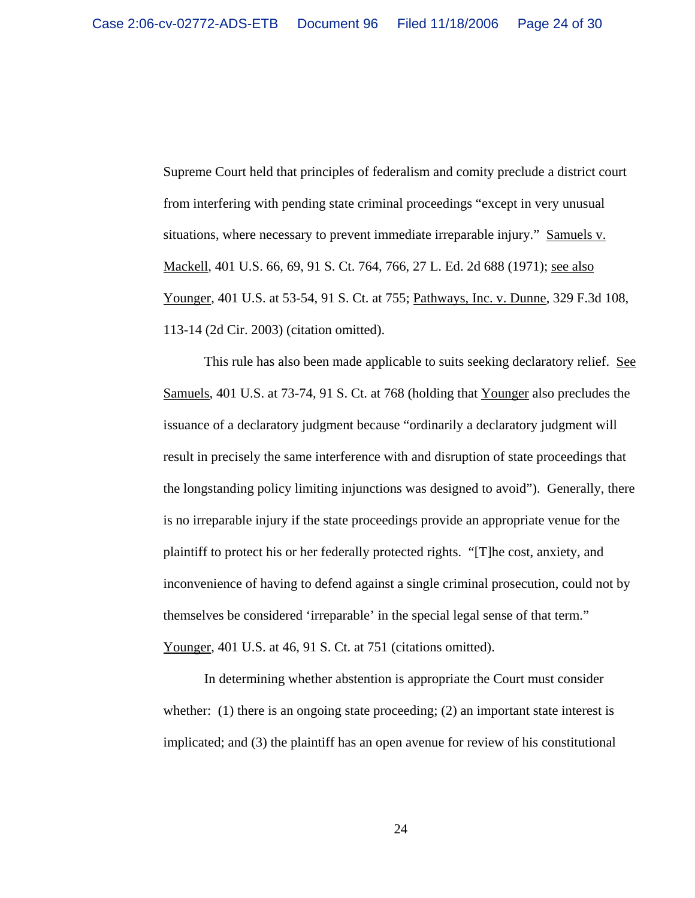Supreme Court held that principles of federalism and comity preclude a district court from interfering with pending state criminal proceedings "except in very unusual situations, where necessary to prevent immediate irreparable injury." Samuels v. Mackell, 401 U.S. 66, 69, 91 S. Ct. 764, 766, 27 L. Ed. 2d 688 (1971); see also Younger, 401 U.S. at 53-54, 91 S. Ct. at 755; Pathways, Inc. v. Dunne, 329 F.3d 108, 113-14 (2d Cir. 2003) (citation omitted).

This rule has also been made applicable to suits seeking declaratory relief. See Samuels, 401 U.S. at 73-74, 91 S. Ct. at 768 (holding that Younger also precludes the issuance of a declaratory judgment because "ordinarily a declaratory judgment will result in precisely the same interference with and disruption of state proceedings that the longstanding policy limiting injunctions was designed to avoid"). Generally, there is no irreparable injury if the state proceedings provide an appropriate venue for the plaintiff to protect his or her federally protected rights. "[T]he cost, anxiety, and inconvenience of having to defend against a single criminal prosecution, could not by themselves be considered 'irreparable' in the special legal sense of that term." Younger, 401 U.S. at 46, 91 S. Ct. at 751 (citations omitted).

In determining whether abstention is appropriate the Court must consider whether: (1) there is an ongoing state proceeding; (2) an important state interest is implicated; and (3) the plaintiff has an open avenue for review of his constitutional

24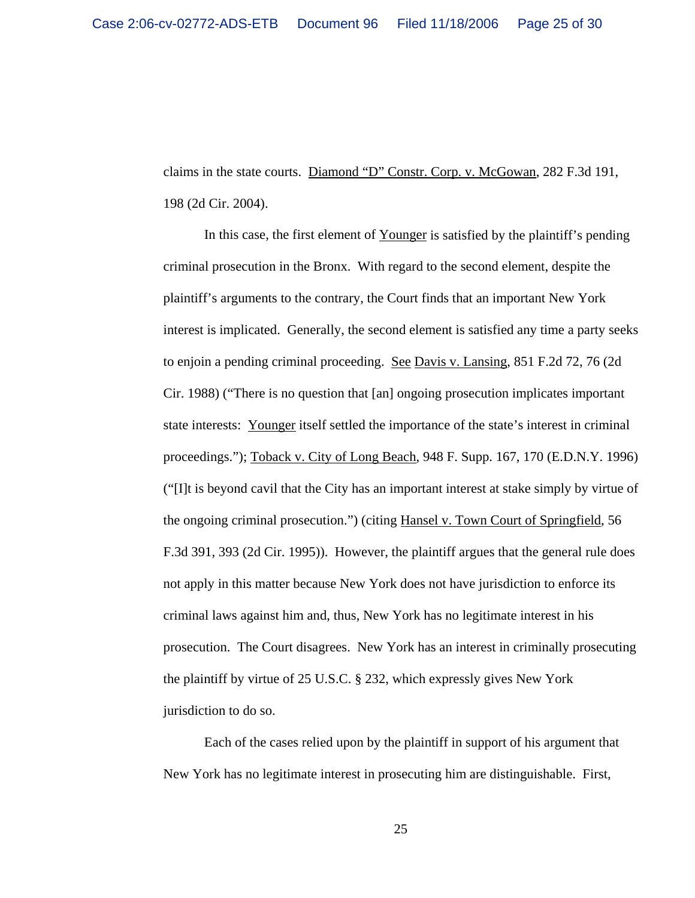claims in the state courts. Diamond "D" Constr. Corp. v. McGowan, 282 F.3d 191, 198 (2d Cir. 2004).

In this case, the first element of <u>Younger</u> is satisfied by the plaintiff's pending criminal prosecution in the Bronx. With regard to the second element, despite the plaintiff's arguments to the contrary, the Court finds that an important New York interest is implicated. Generally, the second element is satisfied any time a party seeks to enjoin a pending criminal proceeding. See Davis v. Lansing, 851 F.2d 72, 76 (2d Cir. 1988) ("There is no question that [an] ongoing prosecution implicates important state interests: Younger itself settled the importance of the state's interest in criminal proceedings."); Toback v. City of Long Beach, 948 F. Supp. 167, 170 (E.D.N.Y. 1996) ("[I]t is beyond cavil that the City has an important interest at stake simply by virtue of the ongoing criminal prosecution.") (citing Hansel v. Town Court of Springfield, 56 F.3d 391, 393 (2d Cir. 1995)). However, the plaintiff argues that the general rule does not apply in this matter because New York does not have jurisdiction to enforce its criminal laws against him and, thus, New York has no legitimate interest in his prosecution. The Court disagrees. New York has an interest in criminally prosecuting the plaintiff by virtue of 25 U.S.C. § 232, which expressly gives New York jurisdiction to do so.

Each of the cases relied upon by the plaintiff in support of his argument that New York has no legitimate interest in prosecuting him are distinguishable. First,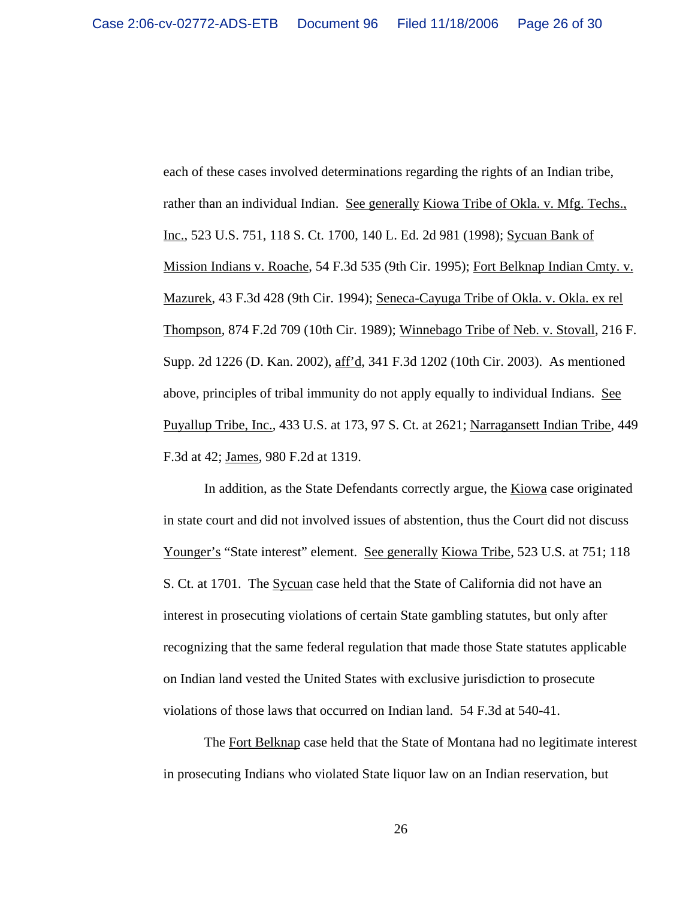each of these cases involved determinations regarding the rights of an Indian tribe, rather than an individual Indian. See generally Kiowa Tribe of Okla. v. Mfg. Techs., Inc., 523 U.S. 751, 118 S. Ct. 1700, 140 L. Ed. 2d 981 (1998); Sycuan Bank of Mission Indians v. Roache, 54 F.3d 535 (9th Cir. 1995); Fort Belknap Indian Cmty. v. Mazurek, 43 F.3d 428 (9th Cir. 1994); Seneca-Cayuga Tribe of Okla. v. Okla. ex rel Thompson, 874 F.2d 709 (10th Cir. 1989); Winnebago Tribe of Neb. v. Stovall, 216 F. Supp. 2d 1226 (D. Kan. 2002), aff'd, 341 F.3d 1202 (10th Cir. 2003). As mentioned above, principles of tribal immunity do not apply equally to individual Indians. See Puyallup Tribe, Inc., 433 U.S. at 173, 97 S. Ct. at 2621; Narragansett Indian Tribe, 449 F.3d at 42; James, 980 F.2d at 1319.

In addition, as the State Defendants correctly argue, the Kiowa case originated in state court and did not involved issues of abstention, thus the Court did not discuss Younger's "State interest" element. See generally Kiowa Tribe, 523 U.S. at 751; 118 S. Ct. at 1701. The Sycuan case held that the State of California did not have an interest in prosecuting violations of certain State gambling statutes, but only after recognizing that the same federal regulation that made those State statutes applicable on Indian land vested the United States with exclusive jurisdiction to prosecute violations of those laws that occurred on Indian land. 54 F.3d at 540-41.

The Fort Belknap case held that the State of Montana had no legitimate interest in prosecuting Indians who violated State liquor law on an Indian reservation, but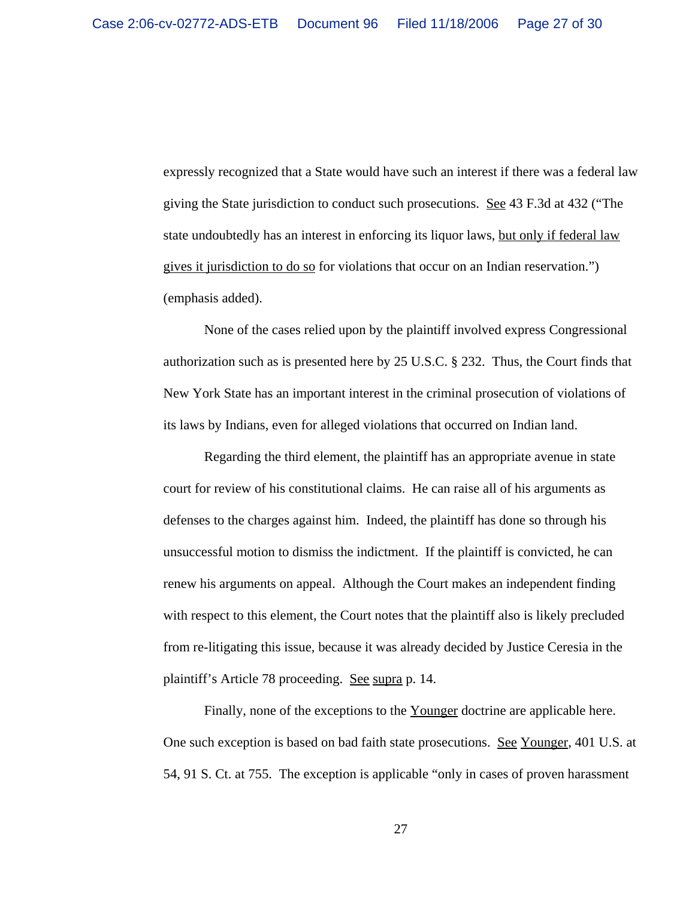expressly recognized that a State would have such an interest if there was a federal law giving the State jurisdiction to conduct such prosecutions. See 43 F.3d at 432 ("The state undoubtedly has an interest in enforcing its liquor laws, but only if federal law gives it jurisdiction to do so for violations that occur on an Indian reservation.") (emphasis added).

None of the cases relied upon by the plaintiff involved express Congressional authorization such as is presented here by 25 U.S.C. § 232. Thus, the Court finds that New York State has an important interest in the criminal prosecution of violations of its laws by Indians, even for alleged violations that occurred on Indian land.

Regarding the third element, the plaintiff has an appropriate avenue in state court for review of his constitutional claims. He can raise all of his arguments as defenses to the charges against him. Indeed, the plaintiff has done so through his unsuccessful motion to dismiss the indictment. If the plaintiff is convicted, he can renew his arguments on appeal. Although the Court makes an independent finding with respect to this element, the Court notes that the plaintiff also is likely precluded from re-litigating this issue, because it was already decided by Justice Ceresia in the plaintiff's Article 78 proceeding. See supra p. 14.

Finally, none of the exceptions to the Younger doctrine are applicable here. One such exception is based on bad faith state prosecutions. See Younger, 401 U.S. at 54, 91 S. Ct. at 755. The exception is applicable "only in cases of proven harassment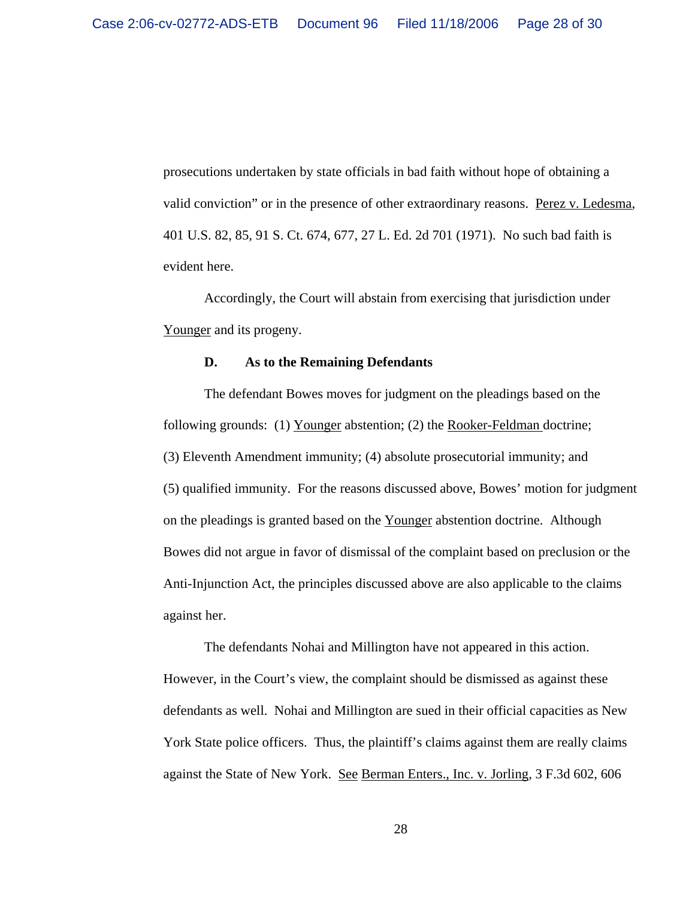prosecutions undertaken by state officials in bad faith without hope of obtaining a valid conviction" or in the presence of other extraordinary reasons. Perez v. Ledesma, 401 U.S. 82, 85, 91 S. Ct. 674, 677, 27 L. Ed. 2d 701 (1971). No such bad faith is evident here.

Accordingly, the Court will abstain from exercising that jurisdiction under Younger and its progeny.

#### **D. As to the Remaining Defendants**

The defendant Bowes moves for judgment on the pleadings based on the following grounds: (1) Younger abstention; (2) the Rooker-Feldman doctrine; (3) Eleventh Amendment immunity; (4) absolute prosecutorial immunity; and (5) qualified immunity. For the reasons discussed above, Bowes' motion for judgment on the pleadings is granted based on the Younger abstention doctrine. Although Bowes did not argue in favor of dismissal of the complaint based on preclusion or the Anti-Injunction Act, the principles discussed above are also applicable to the claims against her.

The defendants Nohai and Millington have not appeared in this action. However, in the Court's view, the complaint should be dismissed as against these defendants as well. Nohai and Millington are sued in their official capacities as New York State police officers. Thus, the plaintiff's claims against them are really claims against the State of New York. See Berman Enters., Inc. v. Jorling, 3 F.3d 602, 606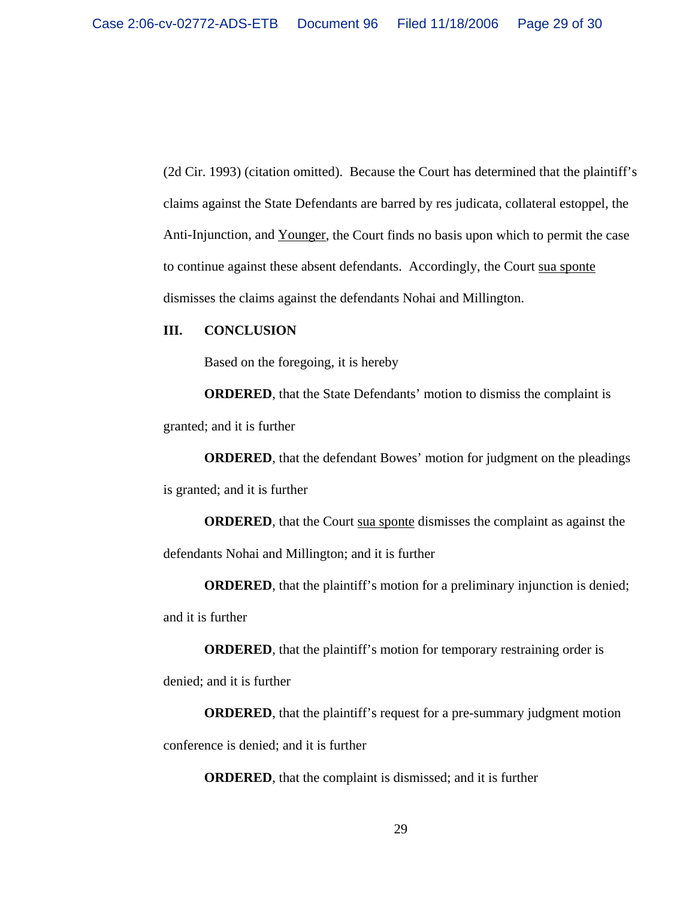(2d Cir. 1993) (citation omitted). Because the Court has determined that the plaintiff's claims against the State Defendants are barred by res judicata, collateral estoppel, the Anti-Injunction, and Younger, the Court finds no basis upon which to permit the case to continue against these absent defendants. Accordingly, the Court sua sponte dismisses the claims against the defendants Nohai and Millington.

### **III. CONCLUSION**

Based on the foregoing, it is hereby

**ORDERED**, that the State Defendants' motion to dismiss the complaint is granted; and it is further

**ORDERED**, that the defendant Bowes' motion for judgment on the pleadings is granted; and it is further

**ORDERED**, that the Court sua sponte dismisses the complaint as against the defendants Nohai and Millington; and it is further

**ORDERED**, that the plaintiff's motion for a preliminary injunction is denied; and it is further

**ORDERED**, that the plaintiff's motion for temporary restraining order is denied; and it is further

**ORDERED**, that the plaintiff's request for a pre-summary judgment motion conference is denied; and it is further

**ORDERED**, that the complaint is dismissed; and it is further